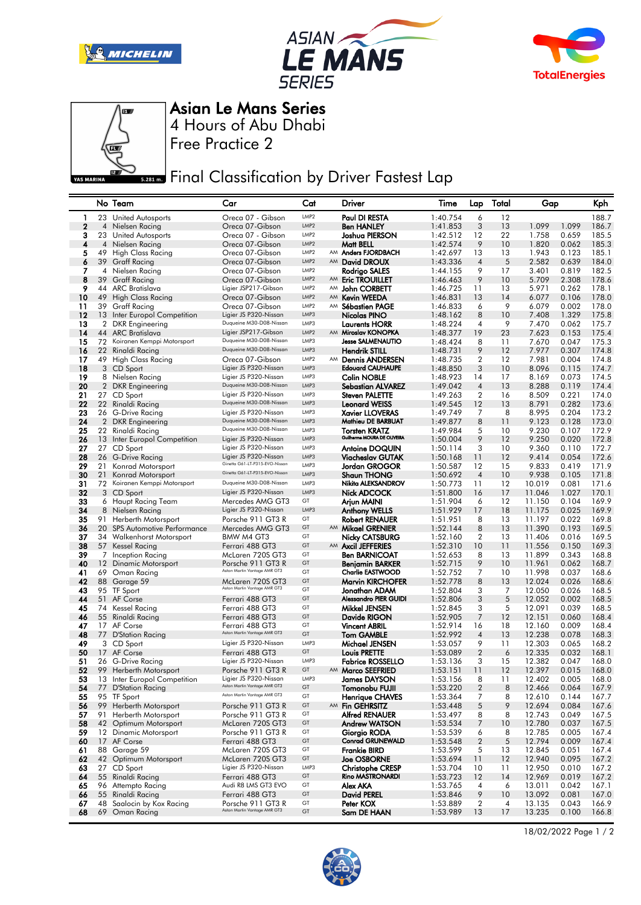







4 Hours of Abu Dhabi Asian Le Mans Series

Free Practice 2

**ERRY FINAL Classification by Driver Fastest Lap** 

|                         |          | No Team                                             | Car                                                     | Cat                      |    | Driver                                        | Time                 | Lap                  | Total          | Gap              |                | Kph            |
|-------------------------|----------|-----------------------------------------------------|---------------------------------------------------------|--------------------------|----|-----------------------------------------------|----------------------|----------------------|----------------|------------------|----------------|----------------|
| 1                       | 23       | <b>United Autosports</b>                            | Oreca 07 - Gibson                                       | LMP <sub>2</sub>         |    | Paul DI RESTA                                 | 1:40.754             | 6                    | 12             |                  |                | 188.7          |
| $\mathbf 2$             | 4        | Nielsen Racing                                      | Oreca 07-Gibson                                         | LMP <sub>2</sub>         |    | <b>Ben HANLEY</b>                             | 1:41.853             | 3                    | 13             | 1.099            | 1.099          | 186.7          |
| 3                       | 23       | United Autosports                                   | Oreca 07 - Gibson                                       | LMP <sub>2</sub>         |    | Joshua PIERSON                                | 1:42.512             | 12                   | 22             | 1.758            | 0.659          | 185.5          |
| $\overline{\mathbf{4}}$ |          | 4 Nielsen Racing                                    | Oreca 07-Gibson                                         | LMP <sub>2</sub>         |    | Matt BELL                                     | 1:42.574             | 9                    | 10             | 1.820            | 0.062          | 185.3          |
| 5                       | 49       | High Class Racing                                   | Oreca 07-Gibson                                         | LMP <sub>2</sub>         |    | AM Anders FJORDBACH                           | 1:42.697             | 13                   | 13             | 1.943            | 0.123          | 185.1          |
| 6                       | 39       | Graff Racing                                        | Oreca 07-Gibson                                         | LMP <sub>2</sub>         |    | AM David DROUX                                | 1:43.336             | $\overline{4}$       | 5              | 2.582            | 0.639          | 184.0          |
| 7                       | 4        | Nielsen Racing                                      | Oreca 07-Gibson                                         | LMP2                     |    | Rodrigo SALES                                 | 1:44.155             | 9                    | 17             | 3.401            | 0.819          | 182.5          |
| 8                       | 39       | <b>Graff Racing</b>                                 | Oreca 07-Gibson                                         | LMP <sub>2</sub>         |    | AM Eric TROUILLET                             | 1:46.463             | 9                    | 10             | 5.709            | 2.308          | 178.6          |
| 9                       |          | 44 ARC Bratislava                                   | Ligier JSP217-Gibson                                    | LMP <sub>2</sub>         | AM | John CORBETT                                  | 1:46.725             | 11                   | 13             | 5.971            | 0.262          | 178.1          |
| 10                      | 49       | <b>High Class Racing</b>                            | Oreca 07-Gibson                                         | LMP <sub>2</sub>         | AM | <b>Kevin WEEDA</b>                            | 1:46.831             | 13                   | 14             | 6.077            | 0.106          | 178.0          |
| 11                      |          | 39 Graff Racing                                     | Oreca 07-Gibson                                         | LMP2                     | AM | Sébastien PAGE                                | 1:46.833             | 6                    | 9              | 6.079            | 0.002          | 178.0          |
| 12                      |          | 13 Inter Europol Competition                        | Ligier JS P320-Nissan<br>Duqueine M30-D08-Nissan        | LMP3                     |    | Nicolas PINO                                  | 1:48.162             | 8                    | 10             | 7.408            | 1.329          | 175.8          |
| 13<br>14                |          | 2 DKR Engineering                                   | Ligier JSP217-Gibson                                    | LMP3<br>LMP <sub>2</sub> |    | Laurents HORR<br>AM Miroslav KONOPKA          | 1:48.224<br>1:48.377 | $\overline{4}$<br>19 | 9<br>23        | 7.470<br>7.623   | 0.062<br>0.153 | 175.7<br>175.4 |
| 15                      | 44<br>72 | <b>ARC Bratislava</b><br>Koiranen Kemppi Motorsport | Duqueine M30-D08-Nissan                                 | LMP3                     |    | <b>Jesse SALMENAUTIO</b>                      | 1:48.424             | 8                    | 11             | 7.670            | 0.047          | 175.3          |
| 16                      |          | 22 Rinaldi Racing                                   | Duqueine M30-D08-Nissan                                 | LMP3                     |    | <b>Hendrik STILL</b>                          | 1:48.731             | 9                    | 12             | 7.977            | 0.307          | 174.8          |
| 17                      |          | 49 High Class Racing                                | Oreca 07-Gibson                                         | LMP <sub>2</sub>         | AM | <b>Dennis ANDERSEN</b>                        | 1:48.735             | $\overline{2}$       | 12             | 7.981            | 0.004          | 174.8          |
| 18                      |          | 3 CD Sport                                          | Ligier JS P320-Nissan                                   | LMP3                     |    | <b>Edouard CAUHAUPE</b>                       | 1:48.850             | 3                    | 10             | 8.096            | 0.115          | 174.7          |
| 19                      |          | 8 Nielsen Racing                                    | Ligier JS P320-Nissan                                   | LMP3                     |    | Colin NOBLE                                   | 1:48.923             | 14                   | 17             | 8.169            | 0.073          | 174.5          |
| 20                      |          | 2 DKR Engineering                                   | Duqueine M30-D08-Nissan                                 | LMP3                     |    | Sebastian ALVAREZ                             | 1:49.042             | $\overline{4}$       | 13             | 8.288            | 0.119          | 174.4          |
| 21                      |          | 27 CD Sport                                         | Ligier JS P320-Nissan                                   | LMP3                     |    | Steven PALETTE                                | 1:49.263             | $\boldsymbol{2}$     | 16             | 8.509            | 0.221          | 174.0          |
| 22                      |          | 22 Rinaldi Racing                                   | Duqueine M30-D08-Nissan                                 | LMP3                     |    | <b>Leonard WEISS</b>                          | 1:49.545             | 12                   | 13             | 8.791            | 0.282          | 173.6          |
| 23                      |          | 26 G-Drive Racing                                   | Ligier JS P320-Nissan                                   | LMP3                     |    | <b>Xavier LLOVERAS</b>                        | 1:49.749             | 7                    | 8              | 8.995            | 0.204          | 173.2          |
| 24                      |          | 2 DKR Engineering                                   | Duqueine M30-D08-Nissan                                 | LMP3                     |    | Mathieu DE BARBUAT                            | 1:49.877             | 8                    | 11             | 9.123            | 0.128          | 173.0          |
| 25                      |          | 22 Rinaldi Racing                                   | Duqueine M30-D08-Nissan                                 | LMP3                     |    | Torsten KRATZ                                 | 1:49.984             | 5                    | 10             | 9.230            | 0.107          | 172.9          |
| 26                      |          | 13 Inter Europol Competition                        | Ligier JS P320-Nissan                                   | LMP3                     |    | Guilherme MOURA DE OLIVEIRA                   | 1:50.004             | 9                    | 12             | 9.250            | 0.020          | 172.8          |
| 27                      |          | 27 CD Sport                                         | Ligier JS P320-Nissan                                   | LMP3                     |    | <b>Antoine DOQUIN</b>                         | 1:50.114             | 3                    | 10             | 9.360            | 0.110          | 172.7          |
| 28                      |          | 26 G-Drive Racing                                   | Ligier JS P320-Nissan<br>Ginetta G61-LT-P315-EVO-Nissan | LMP3                     |    | <b>Viacheslav GUTAK</b>                       | 1:50.168             | 11                   | 12             | 9.414            | 0.054          | 172.6          |
| 29                      | 21       | Konrad Motorsport                                   | Ginetta G61-LT-P315-EVO-Nissan                          | LMP3<br>LMP3             |    | Jordan GROGOR                                 | 1:50.587             | 12                   | 15             | 9.833            | 0.419          | 171.9          |
| 30<br>31                | 21       | Konrad Motorsport<br>72 Koiranen Kemppi Motorsport  | Duqueine M30-D08-Nissan                                 | LMP3                     |    | <b>Shaun THONG</b><br>Nikita ALEKSANDROV      | 1:50.692<br>1:50.773 | $\overline{4}$<br>11 | 10<br>12       | 9.938<br>10.019  | 0.105<br>0.081 | 171.8<br>171.6 |
| 32                      |          | 3 CD Sport                                          | Ligier JS P320-Nissan                                   | LMP3                     |    | <b>Nick ADCOCK</b>                            | 1:51.800             | 16                   | 17             | 11.046           | 1.027          | 170.1          |
| 33                      |          | 6 Haupt Racing Team                                 | Mercedes AMG GT3                                        | GT                       |    | Arjun MAINI                                   | 1:51.904             | 6                    | 12             | 11.150           | 0.104          | 169.9          |
| 34                      | 8        | Nielsen Racing                                      | Ligier JS P320-Nissan                                   | LMP3                     |    | <b>Anthony WELLS</b>                          | 1:51.929             | 17                   | 18             | 11.175           | 0.025          | 169.9          |
| 35                      |          | 91 Herberth Motorsport                              | Porsche 911 GT3 R                                       | GT                       |    | Robert RENAUER                                | 1:51.951             | 8                    | 13             | 11.197           | 0.022          | 169.8          |
| 36                      |          | 20 SPS Automotive Performance                       | Mercedes AMG GT3                                        | GT                       |    | AM Mikael GRENIER                             | 1:52.144             | 8                    | 13             | 11.390           | 0.193          | 169.5          |
| 37                      |          | 34 Walkenhorst Motorsport                           | BMW M4 GT3                                              | GT                       |    | Nicky CATSBURG                                | 1:52.160             | $\overline{2}$       | 13             | 11.406           | 0.016          | 169.5          |
| 38                      |          | 57 Kessel Racing                                    | Ferrari 488 GT3                                         | GT                       |    | AM Axcil JEFFERIES                            | 1:52.310             | 10                   | 11             | 11.556           | 0.150          | 169.3          |
| 39                      |          | 7 Inception Racing                                  | McLaren 720S GT3                                        | GT                       |    | Ben BARNICOAT                                 | 1:52.653             | 8                    | 13             | 11.899           | 0.343          | 168.8          |
| 40                      |          | 12 Dinamic Motorsport                               | Porsche 911 GT3 R                                       | GT                       |    | Benjamin BARKER                               | 1:52.715             | 9                    | 10             | 11.961           | 0.062          | 168.7          |
| 41                      | 69       | Oman Racing                                         | Aston Martin Vantage AMR GT3                            | GT                       |    | <b>Charlie EASTWOOD</b>                       | 1:52.752             | 7                    | 10             | 11.998           | 0.037          | 168.6          |
| 42                      |          | 88 Garage 59                                        | McLaren 720S GT3<br>Aston Martin Vantage AMR GT3        | GT                       |    | <b>Marvin KIRCHOFER</b>                       | 1:52.778             | 8                    | 13             | 12.024           | 0.026          | 168.6          |
| 43                      |          | 95 TF Sport                                         |                                                         | GT                       |    | Jonathan ADAM                                 | 1:52.804             | 3                    | $\overline{7}$ | 12.050           | 0.026          | 168.5          |
| 44                      | 51       | AF Corse                                            | Ferrari 488 GT3                                         | GT                       |    | Alessandro PIER GUIDI                         | 1:52.806             | 3                    | 5              | 12.052           | 0.002          | 168.5          |
| 45                      |          | 74 Kessel Racing                                    | Ferrari 488 GT3                                         | GT<br>GT                 |    | Mikkel JENSEN                                 | 1:52.845             | 3                    | 5              | 12.091<br>12.151 | 0.039          | 168.5          |
| 46<br>47                | 55       | Rinaldi Racing<br>17 AF Corse                       | Ferrari 488 GT3<br>Ferrari 488 GT3                      | GT                       |    | Davide RIGON<br>Vincent ABRIL                 | 1:52.905<br>1:52.914 | 7<br>16              | 12<br>18       | 12.160           | 0.060<br>0.009 | 168.4<br>168.4 |
| 48                      |          | 77 D'Station Racing                                 | Aston Martin Vantage AMR GT3                            | GT                       |    | <b>Tom GAMBLE</b>                             | 1:52.992             | $\overline{4}$       | 13             | 12.238           | 0.078          | 168.3          |
| 49                      |          | 3 CD Sport                                          | Ligier JS P320-Nissan                                   | LMP3                     |    | Michael JENSEN                                | 1:53.057             | 9                    | 11             | 12.303           | 0.065          | 168.2          |
| 50                      |          | 17 AF Corse                                         | Ferrari 488 GT3                                         | GT                       |    | Louis PRETTE                                  | 1:53.089             | $\overline{2}$       | 6              | 12.335           | 0.032          | 168.1          |
| 51                      |          | 26 G-Drive Racing                                   | Ligier JS P320-Nissan                                   | LMP3                     |    | Fabrice ROSSELLO                              | 1:53.136             | 3                    | 15             | 12.382           | 0.047          | 168.0          |
| 52                      |          | 99 Herberth Motorsport                              | Porsche 911 GT3 R                                       | GT                       |    | AM Marco SEEFRIED                             | 1:53.151             | 11                   | 12             | 12.397           | 0.015          | 168.0          |
| 53                      |          | 13 Inter Europol Competition                        | Ligier JS P320-Nissan                                   | LMP3                     |    | James DAYSON                                  | 1:53.156             | 8                    | 11             | 12.402           | 0.005          | 168.0          |
| 54                      |          | 77 D'Station Racing                                 | Aston Martin Vantage AMR GT3                            | GT                       |    | Tomonobu FUJII                                | 1:53.220             | $\boldsymbol{2}$     | 8              | 12.466           | 0.064          | 167.9          |
| 55                      |          | 95 TF Sport                                         | Aston Martin Vantage AMR GT3                            | GT                       |    | <b>Henrique CHAVES</b>                        | 1:53.364             | 7                    | 8              | 12.610           | 0.144          | 167.7          |
| 56                      |          | 99 Herberth Motorsport                              | Porsche 911 GT3 R                                       | GT                       |    | AM Fin GEHRSITZ                               | 1:53.448             | 5                    | 9              | 12.694           | 0.084          | 167.6          |
| 57                      | 91       | Herberth Motorsport                                 | Porsche 911 GT3 R                                       | GT                       |    | <b>Alfred RENAUER</b>                         | 1:53.497             | 8                    | 8              | 12.743           | 0.049          | 167.5          |
| 58                      |          | 42 Optimum Motorsport                               | McLaren 720S GT3                                        | GT                       |    | <b>Andrew WATSON</b>                          | 1:53.534             | 7                    | 10             | 12.780           | 0.037          | 167.5          |
| 59                      | 12       | <b>Dinamic Motorsport</b>                           | Porsche 911 GT3 R                                       | GT                       |    | Giorgio RODA<br><b>Conrad GRUNEWALD</b>       | 1:53.539             | 6                    | 8              | 12.785           | 0.005          | 167.4          |
| 60                      |          | 17 AF Corse                                         | Ferrari 488 GT3                                         | GT                       |    |                                               | 1:53.548             | $\boldsymbol{2}$     | $\sqrt{5}$     | 12.794           | 0.009          | 167.4          |
| 61<br>62                | 42       | 88 Garage 59<br>Optimum Motorsport                  | McLaren 720S GT3<br>McLaren 720S GT3                    | GT<br>GT                 |    | <b>Frankie BIRD</b>                           | 1:53.599             | 5                    | 13             | 12.845           | 0.051          | 167.4          |
| 63                      |          | 27 CD Sport                                         | Ligier JS P320-Nissan                                   | LMP3                     |    | <b>Joe OSBORNE</b><br><b>Christophe CRESP</b> | 1:53.694<br>1:53.704 | 11<br>10             | 12<br>11       | 12.940<br>12.950 | 0.095<br>0.010 | 167.2<br>167.2 |
| 64                      |          | 55 Rinaldi Racing                                   | Ferrari 488 GT3                                         | GT                       |    | Rino MASTRONARDI                              | 1:53.723             | 12                   | 14             | 12.969           | 0.019          | 167.2          |
| 65                      | 96       | Attempto Racing                                     | Audi R8 LMS GT3 EVO                                     | GT                       |    | Alex AKA                                      | 1:53.765             | 4                    | 6              | 13.011           | 0.042          | 167.1          |
| 66                      | 55       | Rinaldi Racing                                      | Ferrari 488 GT3                                         | GT                       |    | <b>David PEREL</b>                            | 1:53.846             | 9                    | 10             | 13.092           | 0.081          | 167.0          |
| 67                      | 48       | Saalocin by Kox Racing                              | Porsche 911 GT3 R                                       | GT                       |    | Peter KOX                                     | 1:53.889             | $\boldsymbol{2}$     | 4              | 13.135           | 0.043          | 166.9          |
| 68                      | 69       | Oman Racing                                         | Aston Martin Vantage AMR GT3                            | GT                       |    | Sam DE HAAN                                   | 1:53.989             | 13                   | 17             | 13.235           | 0.100          | 166.8          |
|                         |          |                                                     |                                                         |                          |    |                                               |                      |                      |                |                  |                |                |